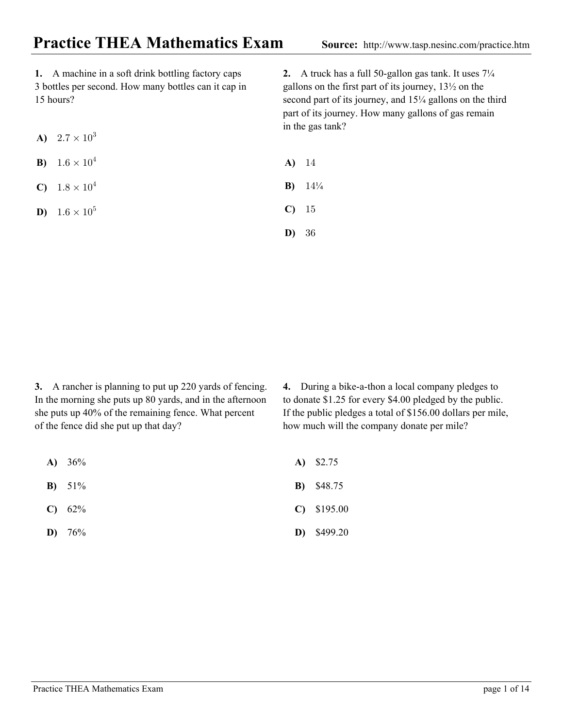**1.** A machine in a soft drink bottling factory caps 3 bottles per second. How many bottles can it cap in 15 hours?

- **A)**  $2.7 \times 10^3$
- **B)**  $1.6 \times 10^4$
- **C)**  $1.8 \times 10^4$

**D**)  $1.6 \times 10^5$ 

**2.** A truck has a full 50-gallon gas tank. It uses 7¼ gallons on the first part of its journey, 13½ on the second part of its journey, and  $15\frac{1}{4}$  gallons on the third part of its journey. How many gallons of gas remain in the gas tank?

- **A)** 14
- **B)**  $14\frac{1}{4}$
- %+ **C)**
- (' **D)**

**3.** A rancher is planning to put up 220 yards of fencing. In the morning she puts up 80 yards, and in the afternoon she puts up 40% of the remaining fence. What percent of the fence did she put up that day?

- 36% **A)**
- 51% **B)**
- 62% **C)**
- 76% **D)**

4. During a bike-a-thon a local company pledges to to donate \$1.25 for every \$4.00 pledged by the public. If the public pledges a total of \$156.00 dollars per mile, how much will the company donate per mile?

- \$2.75 **A)**
- \$48.75 **B)**
- \$195.00 **C)**
- \$499.20 **D)**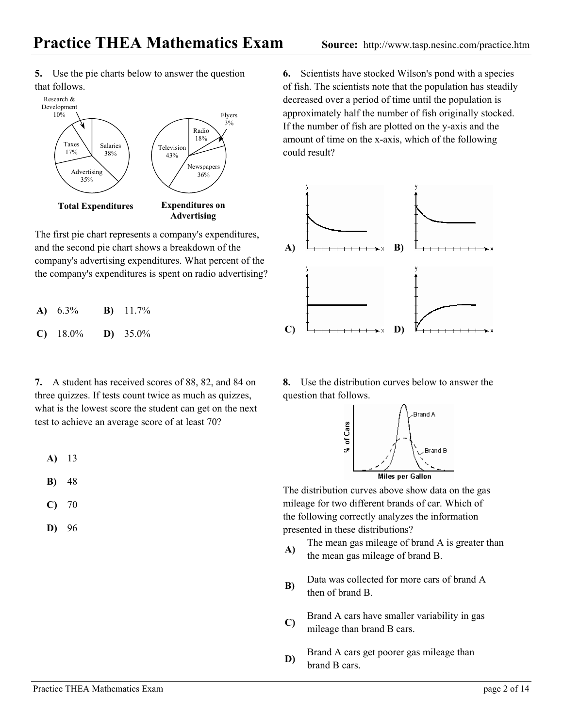**5.** Use the pie charts below to answer the question that follows.



The first pie chart represents a company's expenditures, and the second pie chart shows a breakdown of the company's advertising expenditures. What percent of the the company's expenditures is spent on radio advertising?

| A) $6.3\%$ | <b>B</b> ) $11.7\%$ |
|------------|---------------------|
| $C)$ 18.0% | <b>D</b> ) $35.0\%$ |

**7.** A student has received scores of 88, 82, and 84 on three quizzes. If tests count twice as much as quizzes, what is the lowest score the student can get on the next test to achieve an average score of at least 70?

- 13 **A)**
- 48 **B)**
- 70 **C)**
- 96 **D)**

6. Scientists have stocked Wilson's pond with a species of fish. The scientists note that the population has steadily decreased over a period of time until the population is approximately half the number of fish originally stocked. If the number of fish are plotted on the y-axis and the amount of time on the x-axis, which of the following could result?



8. Use the distribution curves below to answer the question that follows.



The distribution curves above show data on the gas mileage for two different brands of car. Which of the following correctly analyzes the information presented in these distributions?

- $\bf{A}$  The mean gas mileage of brand A is greater than the mean gas mileage of brand B.
- Data was collected for more cars of brand A then of brand B. **B)**
- C) Brand A cars have smaller variability in gas mileage than brand B cars.
- Brand A cars get poorer gas mileage than **b** brand B cars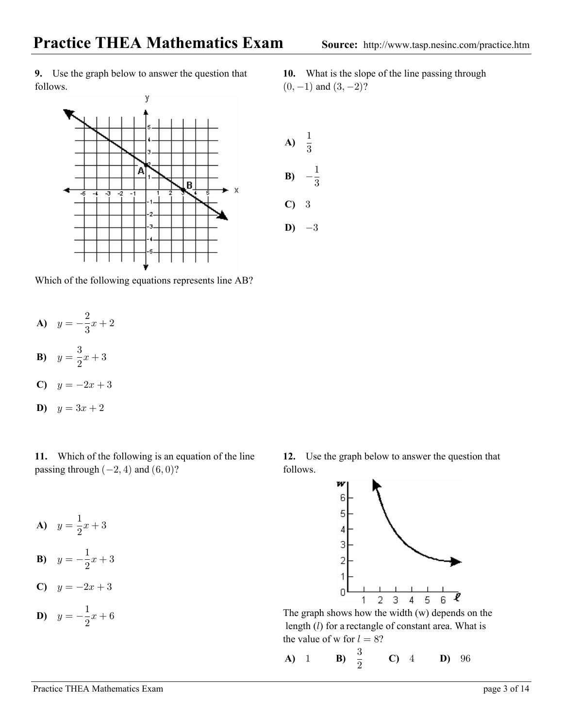**9.** Use the graph below to answer the question that follows.



 $(0, -1)$  and  $(3, -2)$ ? What is the slope of the line passing through **10.**



Which of the following equations represents line AB?

- **A)**  $y = -\frac{2}{3}x + 2$  $\mathbf{3}$
- **B)**  $y = \frac{3}{8}$  $\frac{3}{2}x+3$

$$
c) \quad y = -2x + 3
$$

**D)**  $y = 3x + 2$ 

**11.** Which of the following is an equation of the line passing through  $(-2, 4)$  and  $(6, 0)$ ?

**A)**  $y = \frac{1}{2}x + 3$  $\overline{c}$ 

**B**) 
$$
y = -\frac{1}{2}x + 3
$$

$$
c) \quad y = -2x + 3
$$

**D**) 
$$
y = -\frac{1}{2}x + 6
$$

12. Use the graph below to answer the question that follows.



The graph shows how the width (w) depends on the length  $(l)$  for a rectangle of constant area. What is the value of w for  $l = 8$ ?

**A)** 1 **B)** 
$$
\frac{3}{2}
$$
 **C)** 4 **D)** 96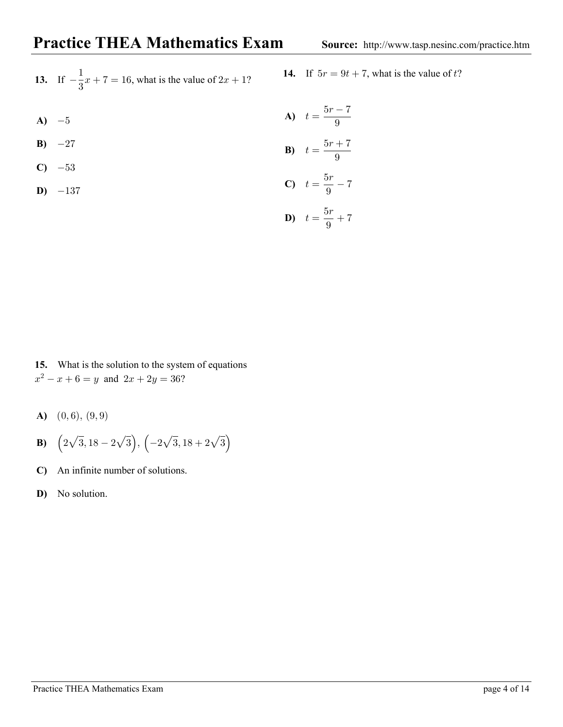| 13. If $-\frac{1}{2}x + 7 = 16$ , what is the value of $2x + 1$ ? | 14. If $5r = 9t + 7$ , what is the value of t? |
|-------------------------------------------------------------------|------------------------------------------------|
|-------------------------------------------------------------------|------------------------------------------------|

14. If 
$$
5r = 9t + 7
$$
, what is the value of t?

**A)** 
$$
-5
$$
 **A)**  $t = \frac{5r - 7}{9}$ 

**B)** 
$$
-27
$$
 **B)**  $t = \frac{5r + 7}{9}$ 

C) 
$$
-53
$$
  
D)  $-137$   
C)  $t = \frac{5r}{9} - 7$ 

$$
b) \quad t = \frac{5r}{9} + 7
$$

3

**15.** What is the solution to the system of equations  $x^2 - x + 6 = y$  and  $2x + 2y = 36$ ?

- **A)**  $(0,6), (9,9)$
- **B)**  $(2\sqrt{3}, 18-2\sqrt{3}), (-2\sqrt{3}, 18+2\sqrt{3})$
- **C)** An in finite number of solutions.
- **D)** No solution.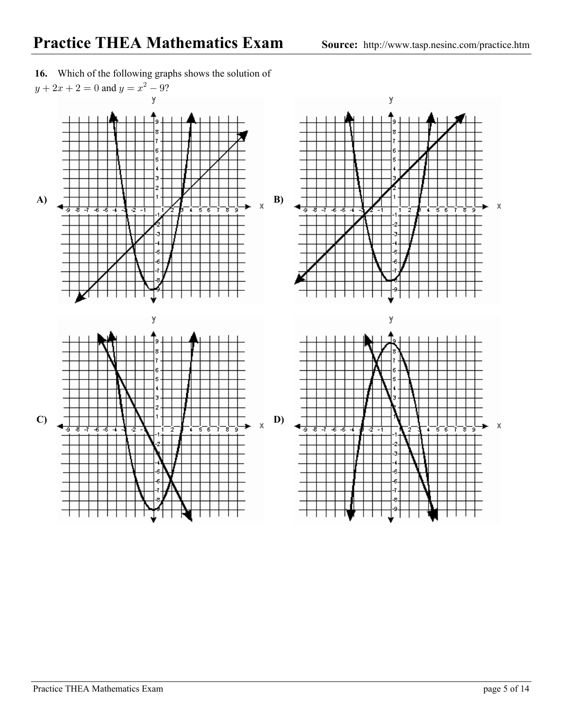

**16.** Which of the following graphs shows the solution of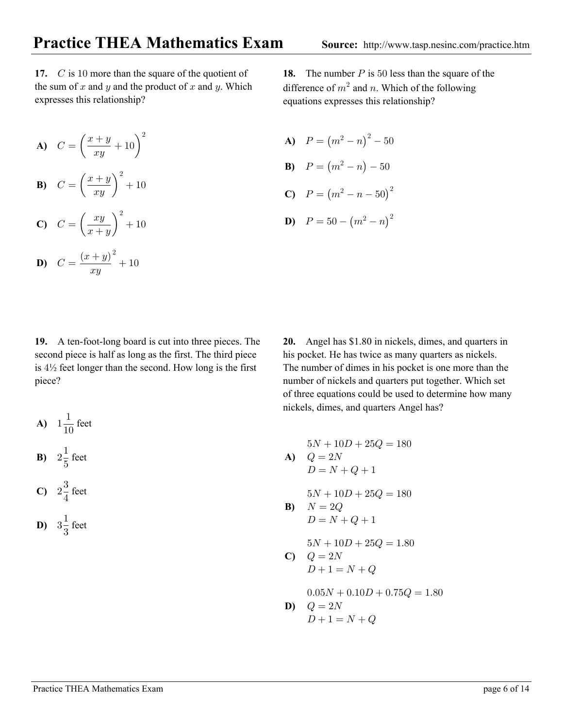17.  $C$  is 10 more than the square of the quotient of the sum of  $x$  and  $y$  and the product of  $x$  and  $y$ . Which expresses this relationship?

$$
A) \quad C = \left(\frac{x+y}{xy} + 10\right)^2
$$

**B)**  $C = \left(\frac{x+y}{xy}\right)^2 + 10$ 

$$
C) \quad C = \left(\frac{xy}{x+y}\right)^2 + 10
$$

**D)** 
$$
C = \frac{(x+y)^2}{xy} + 10
$$

**18.** The number *P* is 50 less than the square of the difference of  $m^2$  and n. Which of the following equations expresses this relationship?

**A)**  $P = (m^2 - n)^2 - 50$ **B)**  $P = (m^2 - n) - 50$ 

C) 
$$
P = (m^2 - n - 50)^2
$$

**D)** 
$$
P = 50 - (m^2 - n)^2
$$

**19.** A ten-foot-long board is cut into three pieces. The second piece is half as long as the first. The third piece is  $4\frac{1}{2}$  feet longer than the second. How long is the first piece?

**A)** 
$$
1\frac{1}{10}
$$
 feet  
**B)**  $2\frac{1}{5}$  feet

$$
C) \quad 2\frac{3}{4} \text{ feet}
$$

$$
D) \quad 3\frac{1}{3} \text{ feet}
$$

**20.** Angel has \$1.80 in nickels, dimes, and quarters in his pocket. He has twice as many quarters as nickels. The number of dimes in his pocket is one more than the number of nickels and quarters put together. Which set of three equations could be used to determine how many nickels, dimes, and quarters Angel has?

$$
5N + 10D + 25Q = 180
$$

$$
\begin{array}{ll} \textbf{A)} & Q = 2N \\ & D = N + Q + 1 \end{array}
$$

 $5N + 10D + 25Q = 180$ 

$$
\begin{aligned} \mathbf{B)} \quad & N = 2Q\\ & D = N + Q + 1 \end{aligned}
$$

$$
5N + 10D + 25Q = 1.80
$$
  

$$
Q = 2N
$$

$$
\begin{array}{ll}\n\mathbf{C} & Q = 2N \\
D + 1 = N + Q\n\end{array}
$$

 $0.05N + 0.10D + 0.75Q = 1.80$ 

$$
\begin{array}{ll} \textbf{D)} & Q = 2N \\ & D+1 = N+Q \end{array}
$$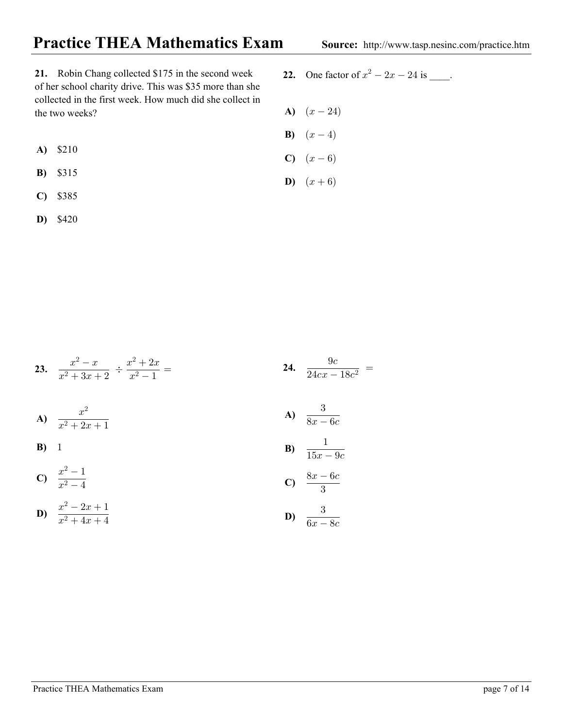## **Practice THEA Mathematics Exam** Source: http://www.tasp.nesinc.com/practice.htm

**21.** Robin Chang collected \$175 in the second week of her school charity drive. This was \$35 more than she collected in the first week. How much did she collect in the two weeks?

- \$210 **A)**
- \$315 **B)**
- \$385 **C)**
- \$420 **D)**
- **22.** One factor of  $x^2 2x 24$  is \_\_\_\_.
- **A)**  $(x-24)$
- **B**)  $(x-4)$
- **C)**  $(x-6)$
- **D)**  $(x+6)$

**23.**  $\frac{x^2-x}{x^2+3x+2} \div \frac{x^2+2x}{x^2-1} =$ **A)**  $\frac{x}{2+x}$ **B) C**)  $\frac{x^2-1}{2}$ **D)**  $\frac{x^2-2x+1}{2}$ **24.**  $\frac{9c}{24cx - 18c^2}$  = **A)**  $\frac{3}{2}$ **B**)  $\frac{1}{15}$  $\mathbf{C}$ )  $\frac{8x-6c}{2}$ **D)**  $\frac{3}{6}$  $x^2 + 2x + 1$ %  $x^2 - 4$  $x^2 + 4x + 4$  $8x - 6c$  $15x - 9c$  $\mathbf{3}$  $6x - 8c$  $2 = r$   $r^2$  $x^2 + 3x + 2$   $x^2$  $\overline{c}$  $\overline{c}$  $\overline{c}$  $\overline{c}$  $\overline{c}$  $\overline{c}$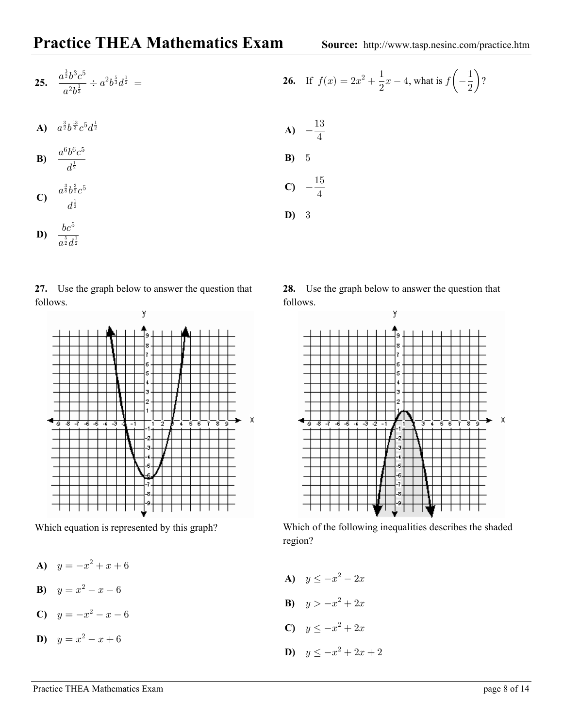**25.** 
$$
\frac{a^{\frac{3}{2}}b^3c^5}{a^2b^{\frac{1}{3}}} \div a^2b^{\frac{5}{3}}d^{\frac{1}{2}} =
$$

**A)** 
$$
a^{\frac{3}{2}}b^{\frac{13}{3}}c^5d^{\frac{1}{2}}
$$

$$
\mathbf{B}) \quad \frac{a^6 b^6 c^5}{d^{\frac{1}{2}}} \qquad \qquad \mathbf{B})
$$

$$
C) \quad \frac{a^{\frac{3}{8}}b^{\frac{3}{2}}c^5}{d^{\frac{1}{2}}}
$$

$$
D) \quad \frac{bc^5}{a^{\frac{5}{2}}d^{\frac{1}{2}}}
$$

## **27.** Use the graph below to answer the question that follows.



Which equation is represented by this graph?

- **A)**  $y = -x^2 + x + 6$
- **B**)  $y = x^2 x 6$

$$
c) \quad y = -x^2 - x - 6
$$

$$
D) \quad y = x^2 - x + 6
$$

**26.** If 
$$
f(x) = 2x^2 + \frac{1}{2}x - 4
$$
, what is  $f\left(-\frac{1}{2}\right)$ ?

**A)** 
$$
-\frac{13}{4}
$$
  
\n**B)** 5  
\n**C)**  $-\frac{15}{4}$   
\n**D)** 3

**28.** Use the graph below to answer the question that follows.



Which of the following inequalities describes the shaded region?

**A)**  $y \le -x^2 - 2x$ **B)**  $y > -x^2 + 2x$ **C)**  $y \leq -x^2 + 2x$ **D)**  $y \leq -x^2 + 2x + 2$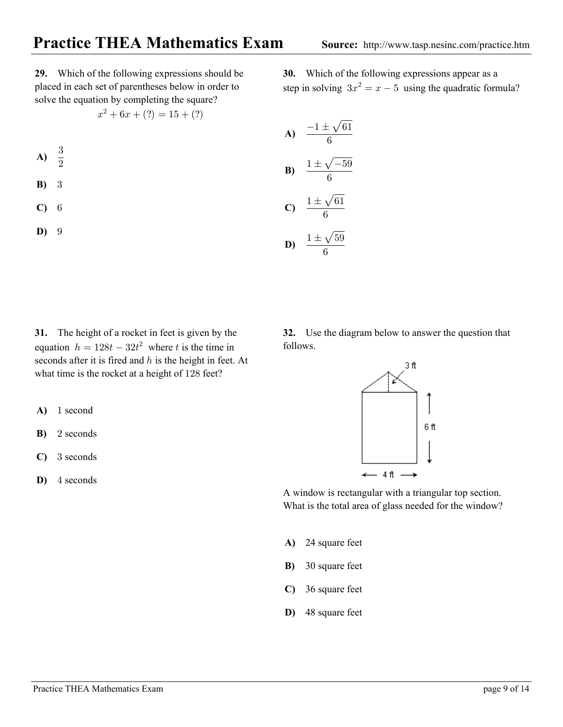Which of the following expressions appear as a **30.** step in solving  $3x^2 = x - 5$  using the quadratic formula?

**29.** Which of the following expressions should be placed in each set of parentheses below in order to solve the equation by completing the square?

$$
x^2 + 6x + (?) = 15 + (?)
$$

- $\overline{\mathbf{3}}$  $\overline{2}$ **A)**
- 3 **B)**
- ' **C)**
- 3 **D)**

A) 
$$
\frac{-1 \pm \sqrt{61}}{6}
$$
  
\nB) 
$$
\frac{1 \pm \sqrt{-59}}{6}
$$
  
\nC) 
$$
\frac{1 \pm \sqrt{61}}{6}
$$
  
\nD) 
$$
\frac{1 \pm \sqrt{59}}{6}
$$

**31.** The height of a rocket in feet is given by the equation  $h = 128t - 32t^2$  where t is the time in seconds after it is fired and  $h$  is the height in feet. At what time is the rocket at a height of 128 feet?

- A) 1 second
- 2 seconds **B)**
- 3 seconds **C)**
- **D)** 4 seconds

**32.** Use the diagram below to answer the question that follows.



A window is rectangular with a triangular top section. What is the total area of glass needed for the window?

- 24 square feet **A)**
- 30 square feet **B)**
- 36 square feet **C)**
- 48 square feet **D)**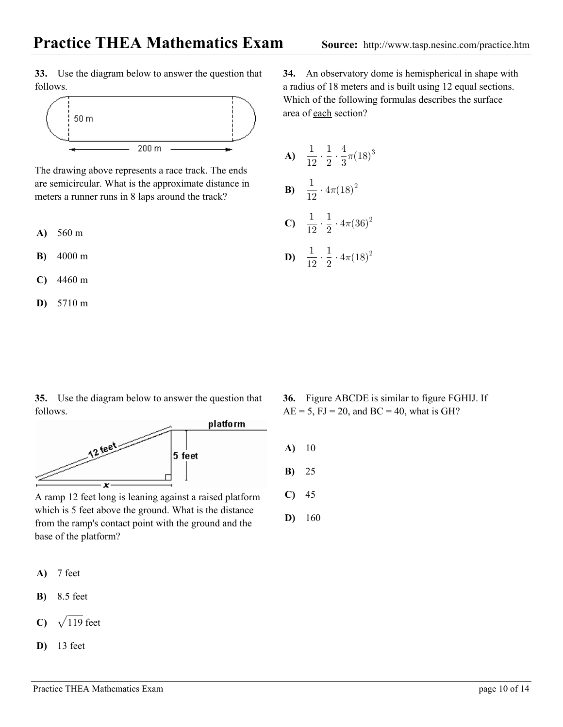**33.** Use the diagram below to answer the question that follows.



The drawing above represents a race track. The ends are semicircular. What is the approximate distance in meters a runner runs in 8 laps around the track?

- 560 m **A)**
- 4000 m **B)**
- 4460 m **C)**
- 5710 m **D)**

**35.** Use the diagram below to answer the question that follows.



A ramp 12 feet long is leaning against a raised platform which is 5 feet above the ground. What is the distance from the ramp's contact point with the ground and the base of the platform?

- **A)** 7 feet
- 8.5 feet **B)**
- C)  $\sqrt{119}$  feet
- **D**) 13 feet

**34.** An observatory dome is hemispherical in shape with a radius of 18 meters and is built using 12 equal sections. Which of the following formulas describes the surface area of each section?

**A)** 
$$
\frac{1}{12} \cdot \frac{1}{2} \cdot \frac{4}{3}\pi (18)^3
$$
  
\n**B)**  $\frac{1}{12} \cdot 4\pi (18)^2$   
\n**C)**  $\frac{1}{12} \cdot \frac{1}{2} \cdot 4\pi (36)^2$   
\n**D)**  $\frac{1}{12} \cdot \frac{1}{2} \cdot 4\pi (18)^2$ 

- Figure ABCDE is similar to figure FGHIJ. If **36.**  $AE = 5$ ,  $FJ = 20$ , and  $BC = 40$ , what is GH?
- **A )** 10
- **B)** 25
- **C)** 45
- **D)** 160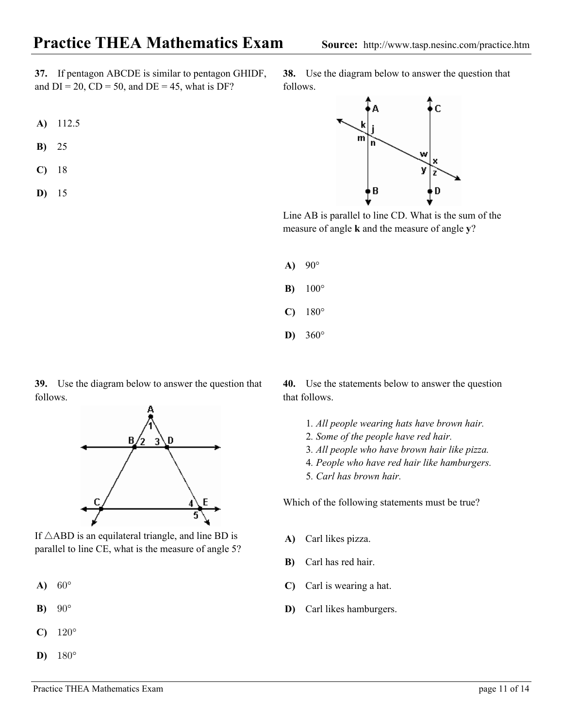**37.** If pentagon ABCDE is similar to pentagon GHIDF, **38.** Use and  $DI = 20$ ,  $CD = 50$ , and  $DE = 45$ , what is DF?

- **A)** 112.5
- **B)** 25
- **C)** 18
- **D)** 15

38. Use the diagram below to answer the question that follows.



Line AB is parallel to line CD. What is the sum of the measure of angle **k** and the measure of angle **y**?

- **A) B)** 90° 100°
- **C)** 180°
- **D)** 360°

**39.** Use the diagram below to answer the question that follows.



If  $\triangle$ ABD is an equilateral triangle, and line BD is parallel to lin e CE, what is the measure of angle 5?

- $60^{\circ}$ **A)**
- $90^\circ$ **B)**
- $120^\circ$ **C)**
- $180^\circ$ **D)**

Use the statements below to answer the question **40.** that follows.

- 1*. All people wearing hats have brown hair.*
- *. Some of the people have red hair.* 2
- *. All people who have brown hair like pizza.* 3
- 4. People who have red hair like hamburgers.
- 5*. Carl has brown hair.*

Which of the following statements must be true?

- **A)** Carl likes pizza.
- Carl has red hair. **B)**
- Carl is wearing a hat. **C)**
- Carl likes hamburgers. **D)**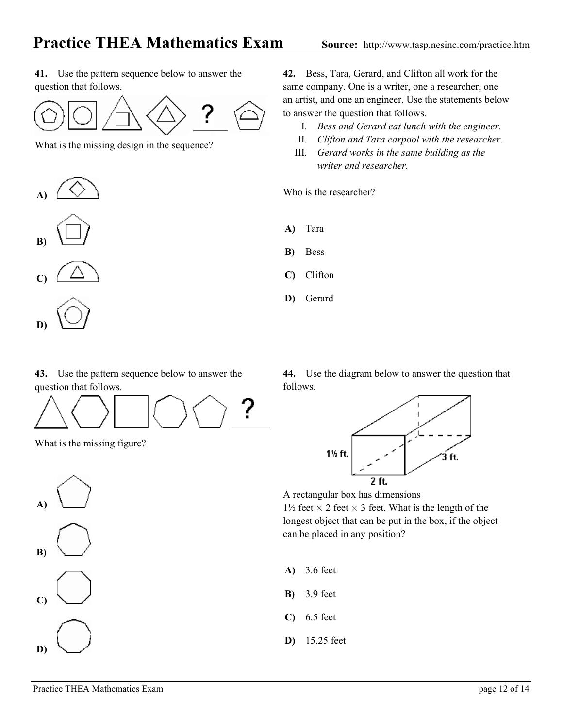**41.** Use the pattern sequence below to answer the question that follows.



What is the missing design in the sequence?





**C)**



43. Use the pattern sequence below to answer the 44. Use the diagr question that follows.



What is the missing figure?



**42.** Bess, Tara, Gerard, and Clifton all work for the same company. One is a writer, one a researcher, one an artist, and one an engineer. Use the statements below to answer the question that follows.

- I *. Bess and Gerard eat lunch with the engineer.*
- II *. Clifton and Tara carpool with the researcher.*
- *. Gerard works in the same building as the* III *writer and researcher.*

Who is the researcher?

- **A)** Tara
- Bess **B)**
- Clifton **C)**
- Gerard **D)**

44. Use the diagram below to answer the question that follows.



A rectangular box has dimensions

 $1\frac{1}{2}$  feet  $\times$  2 feet  $\times$  3 feet. What is the length of the lon gest object that can be put in the box, if the object can be placed in any position?

- 3.6 feet **A)**
- 3.9 feet **B)**
- 6.5 feet **C)**
- 15.25 feet **D)**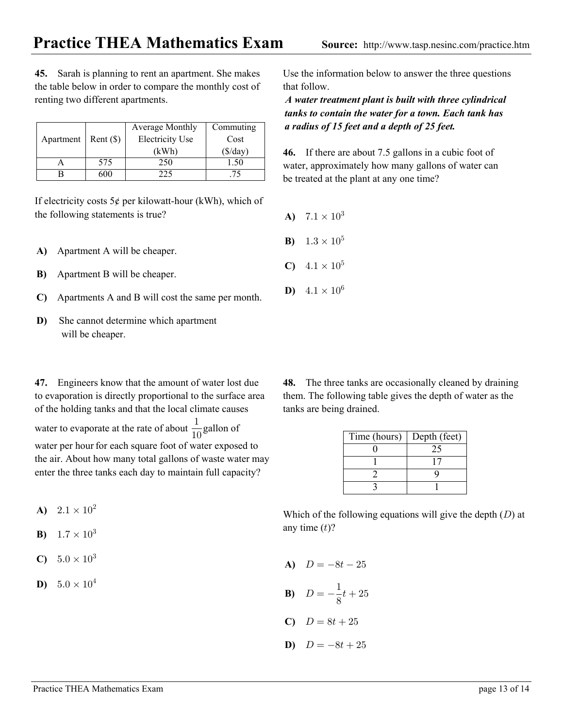**45.** Sarah is planning to rent an apartment. She makes the table below in order to compare the monthly cost of

Apartment | Rent  $(\$)$ Average Monthly Commuting Electricity Use | Cost  $(kWh)$   $(\frac{6}{day})$ A | 575 | 250 | 1.50 B 600 225 75

If electricity costs  $5¢$  per kilowatt-hour (kWh), which of the following statements is true?

Apartment A will be cheaper. **A)**

renting two different apartments.

- **B**) Apartment B will be cheaper.
- Apartments A and B will cost the same per month. **C)**
- She cannot determine which apartment will be cheaper. **D)**

**47.** Engineers know that the amount of water lost due to evaporation is directly proportional to the surface area of the holding tanks and that the local climate causes

water to evaporate at the rate of about  $\frac{1}{10}$  gallon of water per hour for each square foot of water exposed to %& the air. About how many total gallons of waste water may enter the three tanks each day to maintain full capacity?

- **A)**  $2.1 \times 10^2$
- **B)**  $1.7 \times 10^3$
- **C)**  $5.0 \times 10^3$
- **D)**  $5.0 \times 10^4$

Use the informa tion below to answer the three questions that follow.

*A water treatment plant is built with three cylindrical tanks to contain the water for a town. Each tank has a radius of 15 feet and a depth of 25 feet.*

**46.** If there are about 7.5 gallons in a cubic foot of water, approximately how many gallons of water can be treated at the plant at any one time?

- **A)**  $7.1 \times 10^3$ **B**)  $1.3 \times 10^5$
- **C)**  $4.1 \times 10^5$
- **D**)  $4.1 \times 10^6$

The three tanks are occasionally cleaned by draining them. The following table g ives the depth of water as the **48.** tanks are being drained.

| Time (hours) | Depth (feet) |
|--------------|--------------|
|              | 25           |
|              |              |
|              |              |
|              |              |

Which of the following equations will give the depth  $(D)$  at any time  $(t)$ ?

- A)  $D = -8t 25$  $D = -\frac{1}{8}t + 25$  $C)$   $D = 8t + 25$ **B)**
- **D)**  $D = -8t + 25$